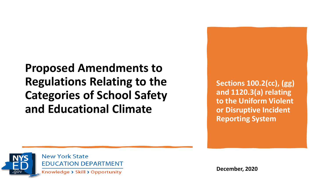**Proposed Amendments to Regulations Relating to the Categories of School Safety and Educational Climate**

**Sections 100.2(cc), (gg) and 1120.3(a) relating to the Uniform Violent or Disruptive Incident Reporting System**



**New York State EDUCATION DEPARTMENT** 

Knowledge > Skill > Opportunity

**December, 2020**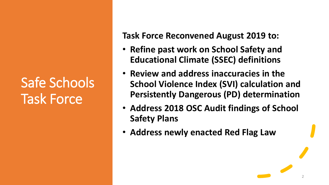# Safe Schools Task Force

**Task Force Reconvened August 2019 to:**

- **Refine past work on School Safety and Educational Climate (SSEC) definitions**
- **Review and address inaccuracies in the School Violence Index (SVI) calculation and Persistently Dangerous (PD) determination**
- **Address 2018 OSC Audit findings of School Safety Plans**
- **Address newly enacted Red Flag Law**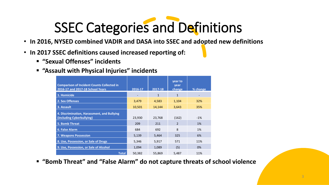# SSEC Categories and Definitions

- **In 2016, NYSED combined VADIR and DASA into SSEC and adopted new definitions**
- **In 2017 SSEC definitions caused increased reporting of:**
	- **"Sexual Offenses" incidents**
	- **"Assault with Physical Injuries" incidents**

| <b>Comparison of Incident Counts Collected in</b><br>2016-17 and 2017-18 School Years | 2016-17 | 2017-18      | year to<br>year<br>change | % change |
|---------------------------------------------------------------------------------------|---------|--------------|---------------------------|----------|
| 1. Homicide                                                                           |         | $\mathbf{1}$ | $\mathbf{1}$              |          |
| 2. Sex Offenses                                                                       | 3,479   | 4,583        | 1,104                     | 32%      |
| 3. Assault                                                                            | 10,501  | 14,144       | 3,643                     | 35%      |
| 4. Discrimination, Harassment, and Bullying<br>(including Cyberbullying)              | 23,930  | 23,768       | (162)                     | $-1\%$   |
| 5. Bomb Threat                                                                        | 209     | 211          | 2                         | 1%       |
| 6. False Alarm                                                                        | 684     | 692          | 8                         | 1%       |
| <b>7. Weapons Possession</b>                                                          | 5,139   | 5,464        | 325                       | 6%       |
| 8. Use, Possession, or Sale of Drugs                                                  | 5,346   | 5,917        | 571                       | 11%      |
| 9. Use, Possession, or Sale of Alcohol                                                | 1,094   | 1,089        | (5)                       | 0%       |
| <b>Total</b>                                                                          | 50,382  | 55,869       | 5,487                     | 11%      |

▪ **"Bomb Threat" and "False Alarm" do not capture threats of school violence**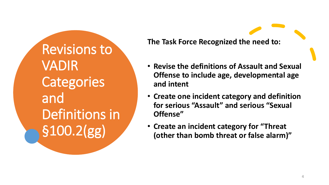Revisions to VADIR **Categories** and Definitions in §100.2(gg)

**The Task Force Recognized the need to:**

- **Revise the definitions of Assault and Sexual Offense to include age, developmental age and intent**
- **Create one incident category and definition for serious "Assault" and serious "Sexual Offense"**
- **Create an incident category for "Threat (other than bomb threat or false alarm)"**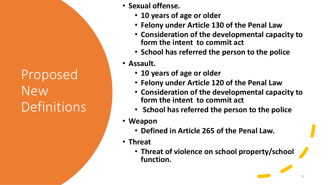Proposed New **Definitions** 

- **Sexual offense.** 
	- **10 years of age or older**
	- **Felony under Article 130 of the Penal Law**
	- **Consideration of the developmental capacity to form the intent to commit act**
	- **School has referred the person to the police**
- **Assault.** 
	- **10 years of age or older**
	- **Felony under Article 120 of the Penal Law**
	- **Consideration of the developmental capacity to form the intent to commit act**
	- **School has referred the person to the police**
- **Weapon** 
	- **Defined in Article 265 of the Penal Law.**
- **Threat**
	- **Threat of violence on school property/school function.**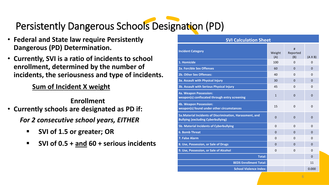### Persistently Dangerous Schools Designation (PD)

- **Federal and State law require Persistently Dangerous (PD) Determination.**
- **Currently, SVI is a ratio of incidents to school enrollment, determined by the number of incidents, the seriousness and type of incidents.**

#### **Sum of Incident X weight**

#### **Enrollment**

- **Currently schools are designated as PD if:** *For 2 consecutive school years, EITHER*
	- **SVI of 1.5 or greater; OR**
	- **SVI of 0.5 + and 60 + serious incidents**

#### **SVI Calculation Sheet**

| <b>Incident Category</b>                                                                               | Weight<br>(A)  | #<br>Reported<br>(B) | $(A \times B)$ |
|--------------------------------------------------------------------------------------------------------|----------------|----------------------|----------------|
| 1. Homicide                                                                                            | 100            | $\Omega$             | 0              |
| 2a. Forcible Sex Offenses                                                                              | 60             | $\mathbf 0$          | $\mathbf 0$    |
| <b>2b. Other Sex Offenses:</b>                                                                         | 40             | 0                    | 0              |
| <b>3a. Assault with Physical Injury</b>                                                                | 30             | $\Omega$             | $\Omega$       |
| 3b. Assault with Serious Physical Injury                                                               | 45             | 0                    | $\Omega$       |
| 4a. Weapon Possession:<br>weapon(s) confiscated through entry screening                                | $\mathbf{1}$   | $\Omega$             | $\Omega$       |
| <b>4b. Weapon Possession:</b><br>weapon(s) found under other circumstances                             | 15             | 0                    | 0              |
| 5a. Material Incidents of Discrimination, Harassment, and<br><b>Bullying (excluding Cyberbullying)</b> | $\overline{0}$ | $\Omega$             | $\mathbf 0$    |
| 5b. Material Incidents of Cyberbullying                                                                | $\Omega$       | $\Omega$             | $\Omega$       |
| <b>6. Bomb Threat</b>                                                                                  | 0              | $\Omega$             | 0              |
| 7. False Alarm                                                                                         | $\mathbf{0}$   | $\Omega$             | 0              |
| 8. Use, Possession, or Sale of Drugs                                                                   | $\Omega$       | $\Omega$             | $\Omega$       |
| 9. Use, Possession, or Sale of Alcohol                                                                 | 0              | 0                    | 0              |
| <b>Total:</b>                                                                                          |                |                      | $\mathbf 0$    |
| <b>BEDS Enrollment Total:</b>                                                                          |                |                      | 11             |
| <b>School Violence Index:</b>                                                                          |                |                      | 0.000          |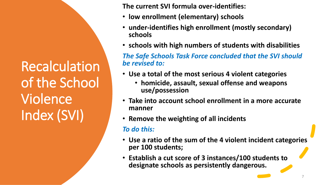**Recalculation** of the School Violence Index (SVI)

**The current SVI formula over-identifies:**

- **low enrollment (elementary) schools**
- **under-identifies high enrollment (mostly secondary) schools**
- **schools with high numbers of students with disabilities**

*The Safe Schools Task Force concluded that the SVI should be revised to:*

- **Use a total of the most serious 4 violent categories** 
	- **homicide, assault, sexual offense and weapons use/possession**
- **Take into account school enrollment in a more accurate manner**
- **Remove the weighting of all incidents**

#### *To do this:*

- **Use a ratio of the sum of the 4 violent incident categories per 100 students;**
- **Establish a cut score of 3 instances/100 students to designate schools as persistently dangerous.**